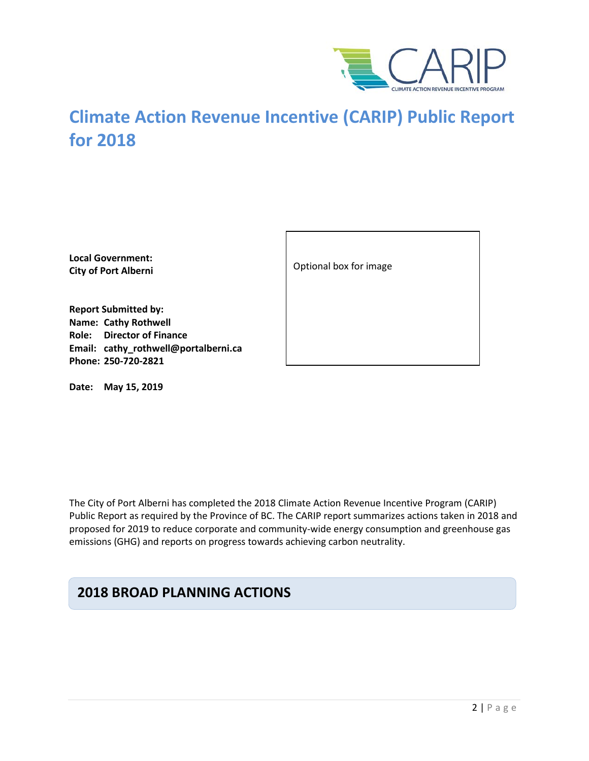

# **Climate Action Revenue Incentive (CARIP) Public Report for 2018**

**Local Government: City of Port Alberni**

**Report Submitted by: Name: Cathy Rothwell Role: Director of Finance Email: cathy\_rothwell@portalberni.ca Phone: 250-720-2821**

**Date: May 15, 2019**

Optional box for image

The City of Port Alberni has completed the 2018 Climate Action Revenue Incentive Program (CARIP) Public Report as required by the Province of BC. The CARIP report summarizes actions taken in 2018 and proposed for 2019 to reduce corporate and community-wide energy consumption and greenhouse gas emissions (GHG) and reports on progress towards achieving carbon neutrality.

### **2018 BROAD PLANNING ACTIONS**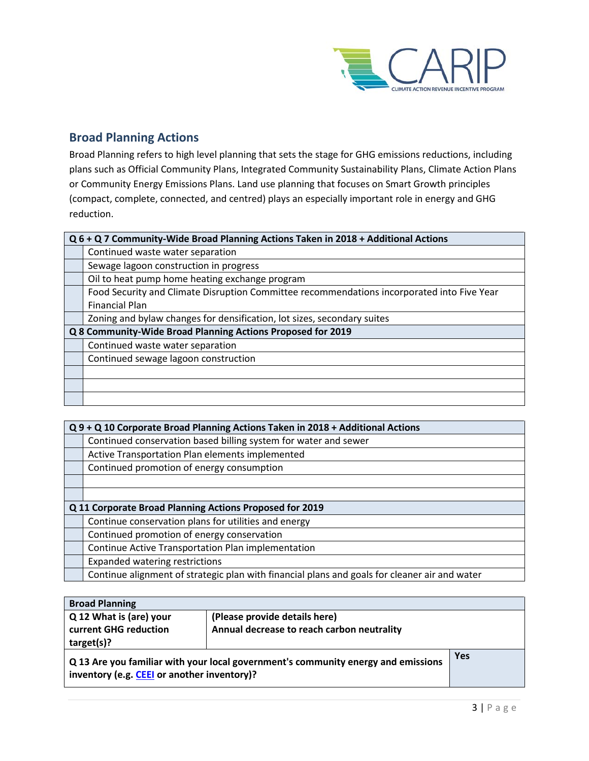

### **Broad Planning Actions**

Broad Planning refers to high level planning that sets the stage for GHG emissions reductions, including plans such as Official Community Plans, Integrated Community Sustainability Plans, Climate Action Plans or Community Energy Emissions Plans. Land use planning that focuses on Smart Growth principles (compact, complete, connected, and centred) plays an especially important role in energy and GHG reduction.

| Q 6 + Q 7 Community-Wide Broad Planning Actions Taken in 2018 + Additional Actions         |  |
|--------------------------------------------------------------------------------------------|--|
| Continued waste water separation                                                           |  |
| Sewage lagoon construction in progress                                                     |  |
| Oil to heat pump home heating exchange program                                             |  |
| Food Security and Climate Disruption Committee recommendations incorporated into Five Year |  |
| <b>Financial Plan</b>                                                                      |  |
| Zoning and bylaw changes for densification, lot sizes, secondary suites                    |  |
| Q 8 Community-Wide Broad Planning Actions Proposed for 2019                                |  |
| Continued waste water separation                                                           |  |
| Continued sewage lagoon construction                                                       |  |
|                                                                                            |  |
|                                                                                            |  |
|                                                                                            |  |

| Q 9 + Q 10 Corporate Broad Planning Actions Taken in 2018 + Additional Actions                |  |
|-----------------------------------------------------------------------------------------------|--|
| Continued conservation based billing system for water and sewer                               |  |
| Active Transportation Plan elements implemented                                               |  |
| Continued promotion of energy consumption                                                     |  |
|                                                                                               |  |
|                                                                                               |  |
| Q 11 Corporate Broad Planning Actions Proposed for 2019                                       |  |
| Continue conservation plans for utilities and energy                                          |  |
| Continued promotion of energy conservation                                                    |  |
| Continue Active Transportation Plan implementation                                            |  |
| <b>Expanded watering restrictions</b>                                                         |  |
| Continue alignment of strategic plan with financial plans and goals for cleaner air and water |  |

| <b>Broad Planning</b>                       |                                                                                   |            |
|---------------------------------------------|-----------------------------------------------------------------------------------|------------|
| Q 12 What is (are) your                     | (Please provide details here)                                                     |            |
| current GHG reduction                       | Annual decrease to reach carbon neutrality                                        |            |
| target(s)?                                  |                                                                                   |            |
| inventory (e.g. CEEI or another inventory)? | Q 13 Are you familiar with your local government's community energy and emissions | <b>Yes</b> |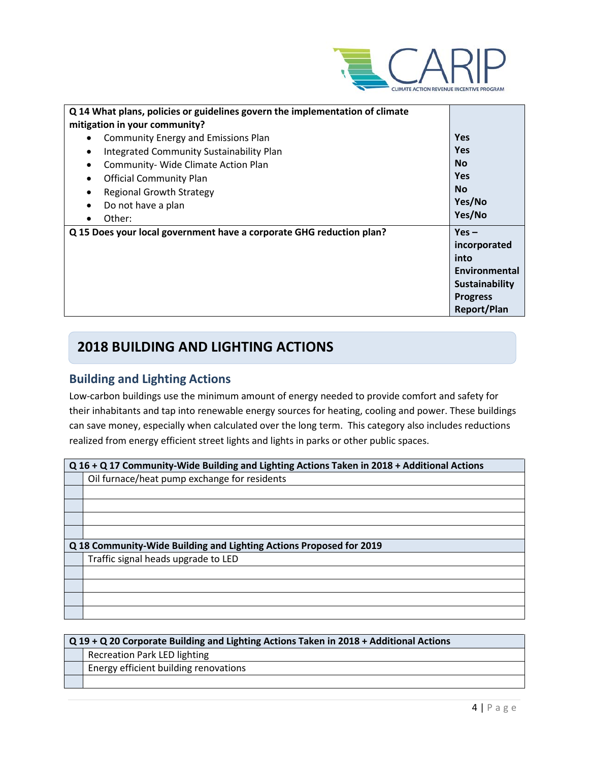

| Q 14 What plans, policies or guidelines govern the implementation of climate |                    |
|------------------------------------------------------------------------------|--------------------|
| mitigation in your community?                                                |                    |
| <b>Community Energy and Emissions Plan</b>                                   | <b>Yes</b>         |
| Integrated Community Sustainability Plan<br>٠                                | <b>Yes</b>         |
| Community- Wide Climate Action Plan                                          | <b>No</b>          |
| <b>Official Community Plan</b>                                               | <b>Yes</b>         |
| <b>Regional Growth Strategy</b>                                              | <b>No</b>          |
| Do not have a plan                                                           | Yes/No             |
| Other:                                                                       | Yes/No             |
| Q 15 Does your local government have a corporate GHG reduction plan?         | $Yes -$            |
|                                                                              | incorporated       |
|                                                                              | into               |
|                                                                              | Environmental      |
|                                                                              | Sustainability     |
|                                                                              | <b>Progress</b>    |
|                                                                              | <b>Report/Plan</b> |

### **2018 BUILDING AND LIGHTING ACTIONS**

### **Building and Lighting Actions**

Low-carbon buildings use the minimum amount of energy needed to provide comfort and safety for their inhabitants and tap into renewable energy sources for heating, cooling and power. These buildings can save money, especially when calculated over the long term. This category also includes reductions realized from energy efficient street lights and lights in parks or other public spaces.

| Q 16 + Q 17 Community-Wide Building and Lighting Actions Taken in 2018 + Additional Actions |  |  |
|---------------------------------------------------------------------------------------------|--|--|
| Oil furnace/heat pump exchange for residents                                                |  |  |
|                                                                                             |  |  |
|                                                                                             |  |  |
|                                                                                             |  |  |
|                                                                                             |  |  |
| Q 18 Community-Wide Building and Lighting Actions Proposed for 2019                         |  |  |
| Traffic signal heads upgrade to LED                                                         |  |  |
|                                                                                             |  |  |
|                                                                                             |  |  |
|                                                                                             |  |  |
|                                                                                             |  |  |

| $Q$ 19 + Q 20 Corporate Building and Lighting Actions Taken in 2018 + Additional Actions |                                       |
|------------------------------------------------------------------------------------------|---------------------------------------|
|                                                                                          | <b>Recreation Park LED lighting</b>   |
|                                                                                          | Energy efficient building renovations |
|                                                                                          |                                       |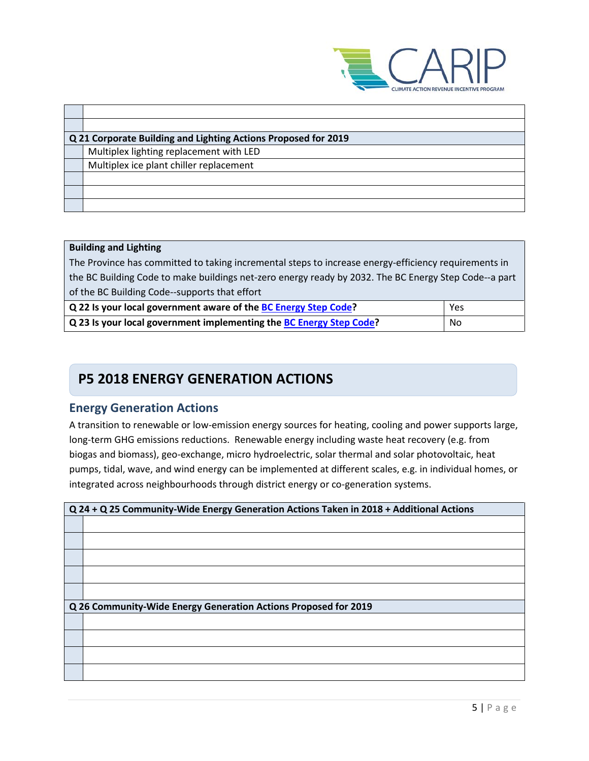

| Q 21 Corporate Building and Lighting Actions Proposed for 2019 |
|----------------------------------------------------------------|
| Multiplex lighting replacement with LED                        |
| Multiplex ice plant chiller replacement                        |
|                                                                |
|                                                                |
|                                                                |
|                                                                |

| <b>Building and Lighting</b>                                                                          |  |  |
|-------------------------------------------------------------------------------------------------------|--|--|
| The Province has committed to taking incremental steps to increase energy-efficiency requirements in  |  |  |
| the BC Building Code to make buildings net-zero energy ready by 2032. The BC Energy Step Code--a part |  |  |
| of the BC Building Code--supports that effort                                                         |  |  |
| Q 22 Is your local government aware of the BC Energy Step Code?<br>Yes                                |  |  |
| Q 23 Is your local government implementing the BC Energy Step Code?<br>No                             |  |  |

# **P5 2018 ENERGY GENERATION ACTIONS**

### **Energy Generation Actions**

A transition to renewable or low-emission energy sources for heating, cooling and power supports large, long-term GHG emissions reductions. Renewable energy including waste heat recovery (e.g. from biogas and biomass), geo-exchange, micro hydroelectric, solar thermal and solar photovoltaic, heat pumps, tidal, wave, and wind energy can be implemented at different scales, e.g. in individual homes, or integrated across neighbourhoods through district energy or co-generation systems.

| Q 24 + Q 25 Community-Wide Energy Generation Actions Taken in 2018 + Additional Actions |  |
|-----------------------------------------------------------------------------------------|--|
|                                                                                         |  |
|                                                                                         |  |
|                                                                                         |  |
|                                                                                         |  |
|                                                                                         |  |
| Q 26 Community-Wide Energy Generation Actions Proposed for 2019                         |  |
|                                                                                         |  |
|                                                                                         |  |
|                                                                                         |  |
|                                                                                         |  |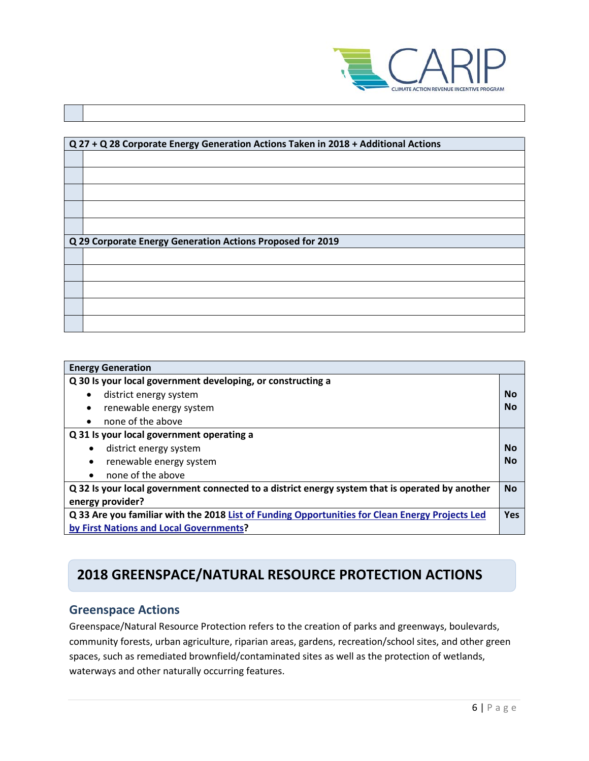

| Q 27 + Q 28 Corporate Energy Generation Actions Taken in 2018 + Additional Actions |
|------------------------------------------------------------------------------------|
|                                                                                    |
|                                                                                    |
|                                                                                    |
|                                                                                    |
|                                                                                    |
|                                                                                    |
| Q 29 Corporate Energy Generation Actions Proposed for 2019                         |
|                                                                                    |
|                                                                                    |
|                                                                                    |
|                                                                                    |
|                                                                                    |
|                                                                                    |

| <b>Energy Generation</b>                                                                        |           |
|-------------------------------------------------------------------------------------------------|-----------|
| Q 30 Is your local government developing, or constructing a                                     |           |
| district energy system                                                                          | <b>No</b> |
| renewable energy system                                                                         | No        |
| none of the above                                                                               |           |
| Q 31 Is your local government operating a                                                       |           |
| district energy system<br>٠                                                                     | <b>No</b> |
| renewable energy system<br>$\bullet$                                                            | <b>No</b> |
| none of the above<br>$\bullet$                                                                  |           |
| Q 32 Is your local government connected to a district energy system that is operated by another |           |
| energy provider?                                                                                |           |
| Q 33 Are you familiar with the 2018 List of Funding Opportunities for Clean Energy Projects Led |           |
| by First Nations and Local Governments?                                                         |           |

# **2018 GREENSPACE/NATURAL RESOURCE PROTECTION ACTIONS**

### **Greenspace Actions**

Greenspace/Natural Resource Protection refers to the creation of parks and greenways, boulevards, community forests, urban agriculture, riparian areas, gardens, recreation/school sites, and other green spaces, such as remediated brownfield/contaminated sites as well as the protection of wetlands, waterways and other naturally occurring features.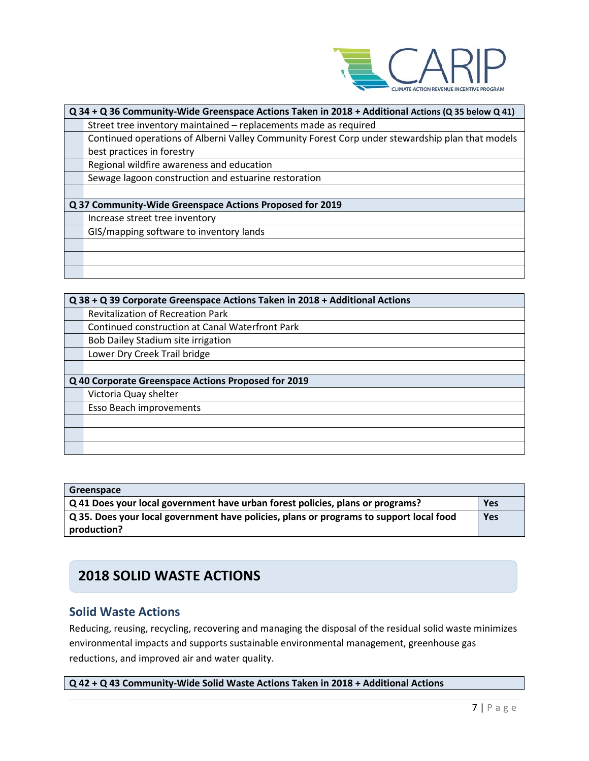

| Q 34 + Q 36 Community-Wide Greenspace Actions Taken in 2018 + Additional Actions (Q 35 below Q 41) |  |
|----------------------------------------------------------------------------------------------------|--|
| Street tree inventory maintained – replacements made as required                                   |  |
| Continued operations of Alberni Valley Community Forest Corp under stewardship plan that models    |  |
| best practices in forestry                                                                         |  |
| Regional wildfire awareness and education                                                          |  |
| Sewage lagoon construction and estuarine restoration                                               |  |
|                                                                                                    |  |
| Q 37 Community-Wide Greenspace Actions Proposed for 2019                                           |  |
| Increase street tree inventory                                                                     |  |
| GIS/mapping software to inventory lands                                                            |  |
|                                                                                                    |  |
|                                                                                                    |  |
|                                                                                                    |  |

| Q 38 + Q 39 Corporate Greenspace Actions Taken in 2018 + Additional Actions |                                                     |  |  |
|-----------------------------------------------------------------------------|-----------------------------------------------------|--|--|
|                                                                             | <b>Revitalization of Recreation Park</b>            |  |  |
|                                                                             | Continued construction at Canal Waterfront Park     |  |  |
|                                                                             | Bob Dailey Stadium site irrigation                  |  |  |
|                                                                             | Lower Dry Creek Trail bridge                        |  |  |
|                                                                             |                                                     |  |  |
|                                                                             | Q 40 Corporate Greenspace Actions Proposed for 2019 |  |  |
|                                                                             | Victoria Quay shelter                               |  |  |
|                                                                             | Esso Beach improvements                             |  |  |
|                                                                             |                                                     |  |  |
|                                                                             |                                                     |  |  |
|                                                                             |                                                     |  |  |

| Greenspace                                                                                     |     |
|------------------------------------------------------------------------------------------------|-----|
| $\sqrt{Q}$ 41 Does your local government have urban forest policies, plans or programs?        | Yes |
| $\mid$ Q 35. Does your local government have policies, plans or programs to support local food | Yes |
| production?                                                                                    |     |

# **2018 SOLID WASTE ACTIONS**

### **Solid Waste Actions**

Reducing, reusing, recycling, recovering and managing the disposal of the residual solid waste minimizes environmental impacts and supports sustainable environmental management, greenhouse gas reductions, and improved air and water quality.

**Q 42 + Q 43 Community-Wide Solid Waste Actions Taken in 2018 + Additional Actions**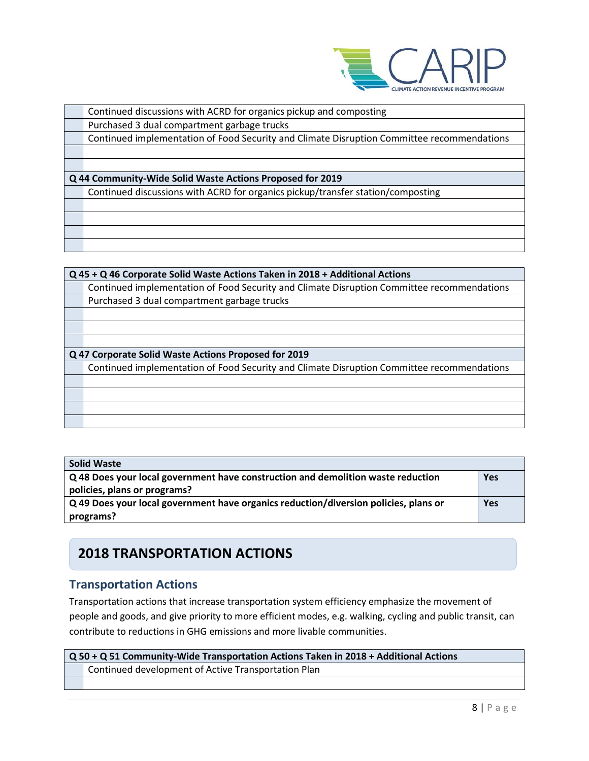

| Continued discussions with ACRD for organics pickup and composting                         |  |  |
|--------------------------------------------------------------------------------------------|--|--|
| Purchased 3 dual compartment garbage trucks                                                |  |  |
| Continued implementation of Food Security and Climate Disruption Committee recommendations |  |  |
|                                                                                            |  |  |
|                                                                                            |  |  |
| Q 44 Community-Wide Solid Waste Actions Proposed for 2019                                  |  |  |
| Continued discussions with ACRD for organics pickup/transfer station/composting            |  |  |
|                                                                                            |  |  |
|                                                                                            |  |  |
|                                                                                            |  |  |
|                                                                                            |  |  |

| Q 45 + Q 46 Corporate Solid Waste Actions Taken in 2018 + Additional Actions               |  |  |
|--------------------------------------------------------------------------------------------|--|--|
| Continued implementation of Food Security and Climate Disruption Committee recommendations |  |  |
| Purchased 3 dual compartment garbage trucks                                                |  |  |
|                                                                                            |  |  |
|                                                                                            |  |  |
|                                                                                            |  |  |
| Q 47 Corporate Solid Waste Actions Proposed for 2019                                       |  |  |
| Continued implementation of Food Security and Climate Disruption Committee recommendations |  |  |
|                                                                                            |  |  |
|                                                                                            |  |  |
|                                                                                            |  |  |
|                                                                                            |  |  |

| <b>Solid Waste</b>                                                                   |            |
|--------------------------------------------------------------------------------------|------------|
| Q 48 Does your local government have construction and demolition waste reduction     | <b>Yes</b> |
| policies, plans or programs?                                                         |            |
| Q 49 Does your local government have organics reduction/diversion policies, plans or | <b>Yes</b> |
| programs?                                                                            |            |

# **2018 TRANSPORTATION ACTIONS**

### **Transportation Actions**

Transportation actions that increase transportation system efficiency emphasize the movement of people and goods, and give priority to more efficient modes, e.g. walking, cycling and public transit, can contribute to reductions in GHG emissions and more livable communities.

| Q 50 + Q 51 Community-Wide Transportation Actions Taken in 2018 + Additional Actions |                                                     |  |
|--------------------------------------------------------------------------------------|-----------------------------------------------------|--|
|                                                                                      | Continued development of Active Transportation Plan |  |
|                                                                                      |                                                     |  |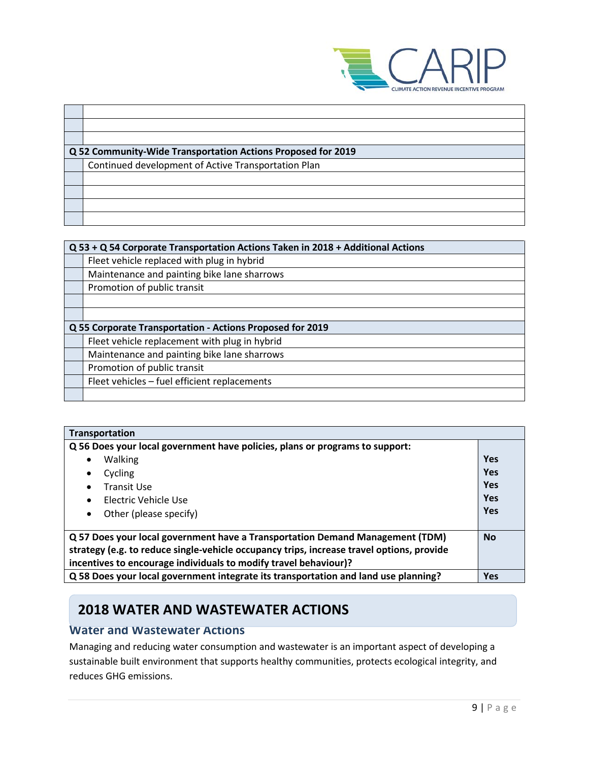

| Q 52 Community-Wide Transportation Actions Proposed for 2019 |  |  |
|--------------------------------------------------------------|--|--|
| Continued development of Active Transportation Plan          |  |  |
|                                                              |  |  |
|                                                              |  |  |
|                                                              |  |  |
|                                                              |  |  |

| Q 53 + Q 54 Corporate Transportation Actions Taken in 2018 + Additional Actions |                                                           |  |  |
|---------------------------------------------------------------------------------|-----------------------------------------------------------|--|--|
|                                                                                 | Fleet vehicle replaced with plug in hybrid                |  |  |
|                                                                                 | Maintenance and painting bike lane sharrows               |  |  |
|                                                                                 | Promotion of public transit                               |  |  |
|                                                                                 |                                                           |  |  |
|                                                                                 |                                                           |  |  |
|                                                                                 | Q 55 Corporate Transportation - Actions Proposed for 2019 |  |  |
|                                                                                 | Fleet vehicle replacement with plug in hybrid             |  |  |
|                                                                                 | Maintenance and painting bike lane sharrows               |  |  |
|                                                                                 | Promotion of public transit                               |  |  |
|                                                                                 | Fleet vehicles - fuel efficient replacements              |  |  |
|                                                                                 |                                                           |  |  |

| Transportation                                                                                                                                                                                                                                 |            |
|------------------------------------------------------------------------------------------------------------------------------------------------------------------------------------------------------------------------------------------------|------------|
| Q 56 Does your local government have policies, plans or programs to support:                                                                                                                                                                   |            |
| Walking<br>$\bullet$                                                                                                                                                                                                                           | <b>Yes</b> |
| Cycling                                                                                                                                                                                                                                        | <b>Yes</b> |
| <b>Transit Use</b>                                                                                                                                                                                                                             | Yes        |
| Flectric Vehicle Use<br>٠                                                                                                                                                                                                                      | <b>Yes</b> |
| Other (please specify)<br>٠                                                                                                                                                                                                                    | <b>Yes</b> |
| Q 57 Does your local government have a Transportation Demand Management (TDM)<br>strategy (e.g. to reduce single-vehicle occupancy trips, increase travel options, provide<br>incentives to encourage individuals to modify travel behaviour)? |            |
| Q 58 Does your local government integrate its transportation and land use planning?                                                                                                                                                            | <b>Yes</b> |

# **2018 WATER AND WASTEWATER ACTIONS**

#### **Water and Wastewater Actions**

Managing and reducing water consumption and wastewater is an important aspect of developing a sustainable built environment that supports healthy communities, protects ecological integrity, and reduces GHG emissions.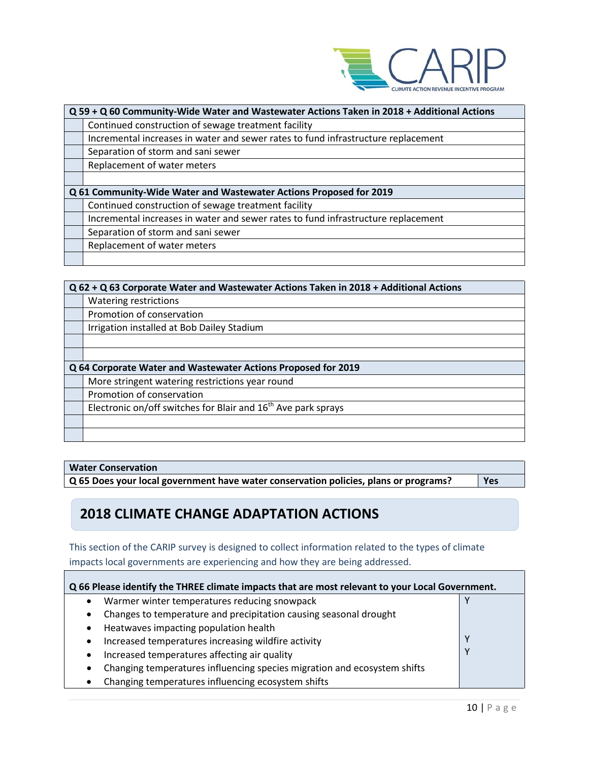

| Q 59 + Q 60 Community-Wide Water and Wastewater Actions Taken in 2018 + Additional Actions |  |  |
|--------------------------------------------------------------------------------------------|--|--|
| Continued construction of sewage treatment facility                                        |  |  |
| Incremental increases in water and sewer rates to fund infrastructure replacement          |  |  |
| Separation of storm and sani sewer                                                         |  |  |
| Replacement of water meters                                                                |  |  |
|                                                                                            |  |  |
| Q 61 Community-Wide Water and Wastewater Actions Proposed for 2019                         |  |  |
| Continued construction of sewage treatment facility                                        |  |  |
| Incremental increases in water and sewer rates to fund infrastructure replacement          |  |  |
| Separation of storm and sani sewer                                                         |  |  |
| Replacement of water meters                                                                |  |  |
|                                                                                            |  |  |

| Q 62 + Q 63 Corporate Water and Wastewater Actions Taken in 2018 + Additional Actions |  |  |
|---------------------------------------------------------------------------------------|--|--|
| Watering restrictions                                                                 |  |  |
| Promotion of conservation                                                             |  |  |
| Irrigation installed at Bob Dailey Stadium                                            |  |  |
|                                                                                       |  |  |
|                                                                                       |  |  |
| Q 64 Corporate Water and Wastewater Actions Proposed for 2019                         |  |  |
| More stringent watering restrictions year round                                       |  |  |
| Promotion of conservation                                                             |  |  |
| Electronic on/off switches for Blair and 16 <sup>th</sup> Ave park sprays             |  |  |
|                                                                                       |  |  |
|                                                                                       |  |  |

#### **Water Conservation**

**Q 65 Does your local government have water conservation policies, plans or programs? Yes**

ī

# **2018 CLIMATE CHANGE ADAPTATION ACTIONS**

This section of the CARIP survey is designed to collect information related to the types of climate impacts local governments are experiencing and how they are being addressed.

| Q 66 Please identify the THREE climate impacts that are most relevant to your Local Government. |  |  |
|-------------------------------------------------------------------------------------------------|--|--|
| Warmer winter temperatures reducing snowpack                                                    |  |  |
| Changes to temperature and precipitation causing seasonal drought<br>$\bullet$                  |  |  |
| Heatwaves impacting population health<br>$\bullet$                                              |  |  |
| Increased temperatures increasing wildfire activity<br>$\bullet$                                |  |  |
| Increased temperatures affecting air quality<br>$\bullet$                                       |  |  |
| Changing temperatures influencing species migration and ecosystem shifts<br>$\bullet$           |  |  |
| Changing temperatures influencing ecosystem shifts<br>٠                                         |  |  |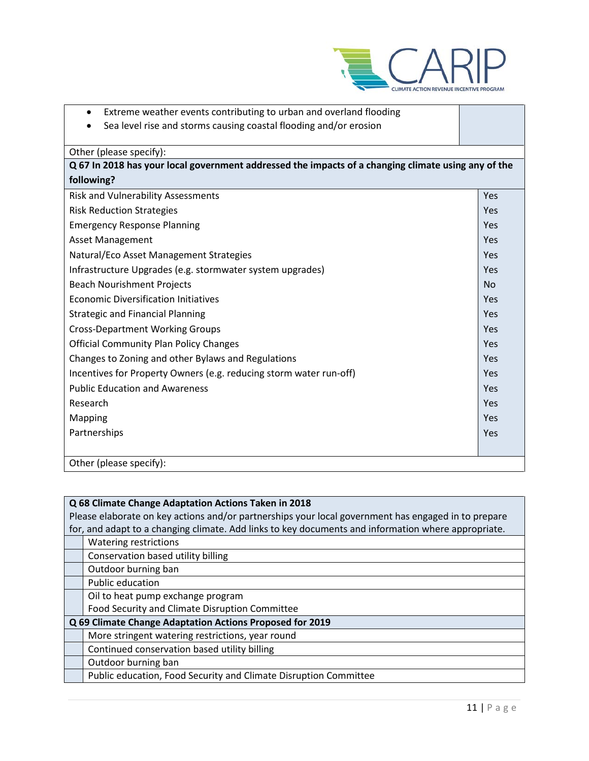

- Extreme weather events contributing to urban and overland flooding
- Sea level rise and storms causing coastal flooding and/or erosion

| Other (please specify):                                                                             |           |
|-----------------------------------------------------------------------------------------------------|-----------|
| Q 67 In 2018 has your local government addressed the impacts of a changing climate using any of the |           |
| following?                                                                                          |           |
| <b>Risk and Vulnerability Assessments</b>                                                           | Yes       |
| <b>Risk Reduction Strategies</b>                                                                    | Yes       |
| <b>Emergency Response Planning</b>                                                                  | Yes       |
| <b>Asset Management</b>                                                                             | Yes       |
| Natural/Eco Asset Management Strategies                                                             | Yes       |
| Infrastructure Upgrades (e.g. stormwater system upgrades)                                           | Yes       |
| <b>Beach Nourishment Projects</b>                                                                   | <b>No</b> |
| <b>Economic Diversification Initiatives</b>                                                         | Yes       |
| <b>Strategic and Financial Planning</b>                                                             | Yes       |
| <b>Cross-Department Working Groups</b>                                                              | Yes       |
| <b>Official Community Plan Policy Changes</b>                                                       | Yes       |
| Changes to Zoning and other Bylaws and Regulations                                                  | Yes       |
| Incentives for Property Owners (e.g. reducing storm water run-off)                                  | Yes       |
| <b>Public Education and Awareness</b>                                                               | Yes       |
| Research                                                                                            | Yes       |
| Mapping                                                                                             | Yes       |
| Partnerships                                                                                        | Yes       |
|                                                                                                     |           |
| Other (please specify):                                                                             |           |

| Q 68 Climate Change Adaptation Actions Taken in 2018                                                |
|-----------------------------------------------------------------------------------------------------|
| Please elaborate on key actions and/or partnerships your local government has engaged in to prepare |
| for, and adapt to a changing climate. Add links to key documents and information where appropriate. |
| Watering restrictions                                                                               |
| Conservation based utility billing                                                                  |
| Outdoor burning ban                                                                                 |
| Public education                                                                                    |
| Oil to heat pump exchange program                                                                   |
| Food Security and Climate Disruption Committee                                                      |
| Q 69 Climate Change Adaptation Actions Proposed for 2019                                            |
| More stringent watering restrictions, year round                                                    |
| Continued conservation based utility billing                                                        |
| Outdoor burning ban                                                                                 |
| Public education, Food Security and Climate Disruption Committee                                    |
|                                                                                                     |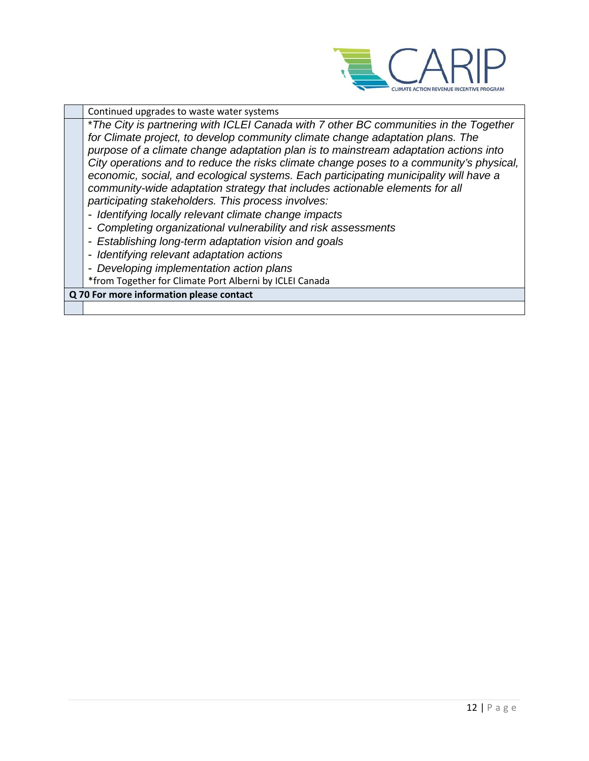

Continued upgrades to waste water systems \**The City is partnering with ICLEI Canada with 7 other BC communities in the Together for Climate project, to develop community climate change adaptation plans. The purpose of a climate change adaptation plan is to mainstream adaptation actions into City operations and to reduce the risks climate change poses to a community's physical, economic, social, and ecological systems. Each participating municipality will have a community-wide adaptation strategy that includes actionable elements for all participating stakeholders. This process involves: - Identifying locally relevant climate change impacts - Completing organizational vulnerability and risk assessments - Establishing long-term adaptation vision and goals - Identifying relevant adaptation actions - Developing implementation action plans*  \*from Together for Climate Port Alberni by ICLEI Canada **Q 70 For more information please contact**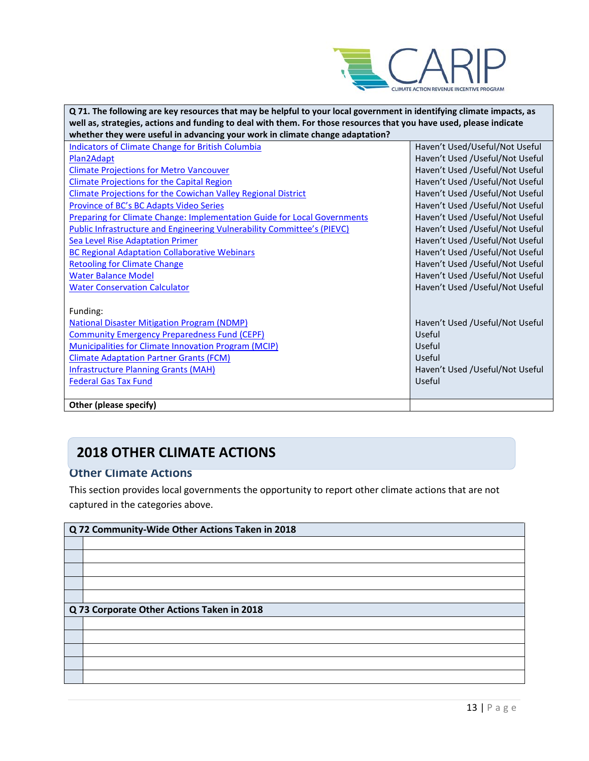

| Q 71. The following are key resources that may be helpful to your local government in identifying climate impacts, as |                                 |  |
|-----------------------------------------------------------------------------------------------------------------------|---------------------------------|--|
| well as, strategies, actions and funding to deal with them. For those resources that you have used, please indicate   |                                 |  |
| whether they were useful in advancing your work in climate change adaptation?                                         |                                 |  |
| <b>Indicators of Climate Change for British Columbia</b>                                                              | Haven't Used/Useful/Not Useful  |  |
| Plan2Adapt                                                                                                            | Haven't Used /Useful/Not Useful |  |
| <b>Climate Projections for Metro Vancouver</b>                                                                        | Haven't Used /Useful/Not Useful |  |
| <b>Climate Projections for the Capital Region</b>                                                                     | Haven't Used /Useful/Not Useful |  |
| Climate Projections for the Cowichan Valley Regional District                                                         | Haven't Used /Useful/Not Useful |  |
| Province of BC's BC Adapts Video Series                                                                               | Haven't Used /Useful/Not Useful |  |
| <b>Preparing for Climate Change: Implementation Guide for Local Governments</b>                                       | Haven't Used /Useful/Not Useful |  |
| Public Infrastructure and Engineering Vulnerability Committee's (PIEVC)                                               | Haven't Used /Useful/Not Useful |  |
| <b>Sea Level Rise Adaptation Primer</b>                                                                               | Haven't Used /Useful/Not Useful |  |
| <b>BC Regional Adaptation Collaborative Webinars</b>                                                                  | Haven't Used /Useful/Not Useful |  |
| <b>Retooling for Climate Change</b>                                                                                   | Haven't Used /Useful/Not Useful |  |
| <b>Water Balance Model</b>                                                                                            | Haven't Used /Useful/Not Useful |  |
| <b>Water Conservation Calculator</b>                                                                                  | Haven't Used /Useful/Not Useful |  |
|                                                                                                                       |                                 |  |
| Funding:                                                                                                              |                                 |  |
| <b>National Disaster Mitigation Program (NDMP)</b>                                                                    | Haven't Used /Useful/Not Useful |  |
| <b>Community Emergency Preparedness Fund (CEPF)</b>                                                                   | Useful                          |  |
| <b>Municipalities for Climate Innovation Program (MCIP)</b>                                                           | Useful                          |  |
| <b>Climate Adaptation Partner Grants (FCM)</b>                                                                        | Useful                          |  |
| <b>Infrastructure Planning Grants (MAH)</b>                                                                           | Haven't Used /Useful/Not Useful |  |
| <b>Federal Gas Tax Fund</b>                                                                                           | Useful                          |  |
|                                                                                                                       |                                 |  |
| Other (please specify)                                                                                                |                                 |  |

# **2018 OTHER CLIMATE ACTIONS**

### **Other Climate Actions**

This section provides local governments the opportunity to report other climate actions that are not captured in the categories above.

| Q 72 Community-Wide Other Actions Taken in 2018 |
|-------------------------------------------------|
|                                                 |
|                                                 |
|                                                 |
|                                                 |
|                                                 |
| Q 73 Corporate Other Actions Taken in 2018      |
|                                                 |
|                                                 |
|                                                 |
|                                                 |
|                                                 |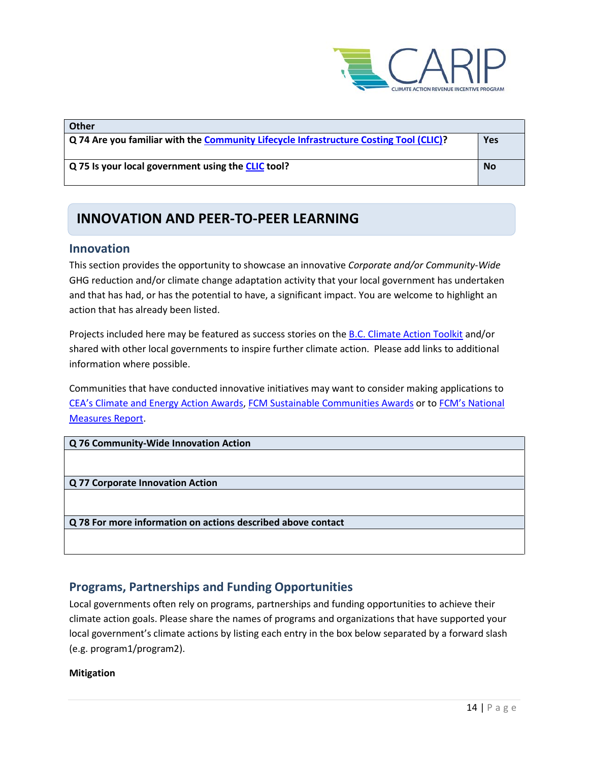

| Other                                                                                  |           |
|----------------------------------------------------------------------------------------|-----------|
| Q 74 Are you familiar with the Community Lifecycle Infrastructure Costing Tool (CLIC)? | Yes       |
|                                                                                        |           |
| Q 75 Is your local government using the CLIC tool?                                     | <b>No</b> |
|                                                                                        |           |

## **INNOVATION AND PEER-TO-PEER LEARNING**

#### **Innovation**

This section provides the opportunity to showcase an innovative *Corporate and/or Community-Wide*  GHG reduction and/or climate change adaptation activity that your local government has undertaken and that has had, or has the potential to have, a significant impact. You are welcome to highlight an action that has already been listed.

Projects included here may be featured as success stories on th[e B.C. Climate Action Toolkit](http://www.toolkit.bc.ca/) and/or shared with other local governments to inspire further climate action. Please add links to additional information where possible.

Communities that have conducted innovative initiatives may want to consider making applications to [CEA's Climate and Energy Action Awards,](http://communityenergy.bc.ca/climate-and-energy-action-awards/) [FCM Sustainable Communities Awards](https://fcm.ca/home/awards/sustainable-communities-awards.htm) or t[o FCM's National](https://fcm.ca/home/programs/partners-for-climate-protection/national-measures-report.htm)  [Measures Report.](https://fcm.ca/home/programs/partners-for-climate-protection/national-measures-report.htm)

**Q 76 Community-Wide Innovation Action**

**Q 77 Corporate Innovation Action**

**Q 78 For more information on actions described above contact**

### **Programs, Partnerships and Funding Opportunities**

Local governments often rely on programs, partnerships and funding opportunities to achieve their climate action goals. Please share the names of programs and organizations that have supported your local government's climate actions by listing each entry in the box below separated by a forward slash (e.g. program1/program2).

#### **Mitigation**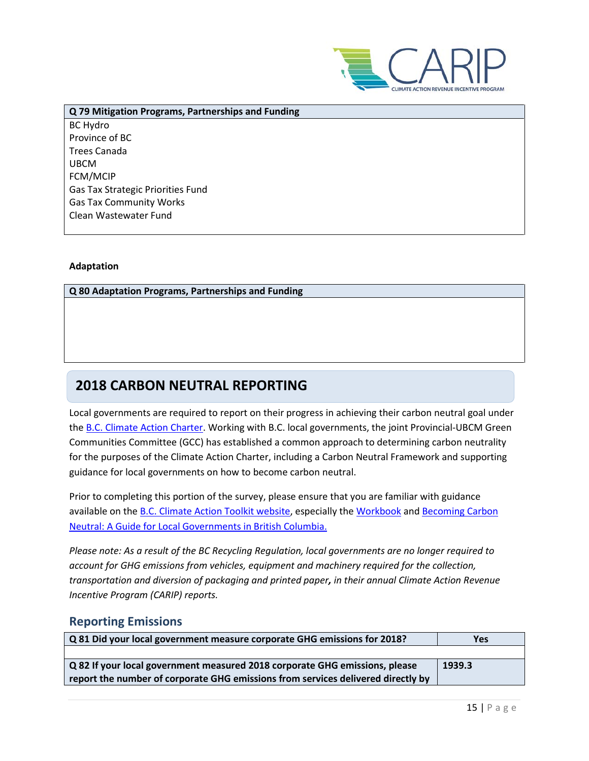

**Q 79 Mitigation Programs, Partnerships and Funding** BC Hydro Province of BC Trees Canada UBCM FCM/MCIP Gas Tax Strategic Priorities Fund Gas Tax Community Works Clean Wastewater Fund

#### **Adaptation**

#### **Q 80 Adaptation Programs, Partnerships and Funding**

### **2018 CARBON NEUTRAL REPORTING**

Local governments are required to report on their progress in achieving their carbon neutral goal under the [B.C. Climate Action Charter.](https://www2.gov.bc.ca/gov/content/governments/local-governments/climate-action/bc-climate-action-charter) Working with B.C. local governments, the joint Provincial-UBCM Green Communities Committee (GCC) has established a common approach to determining carbon neutrality for the purposes of the Climate Action Charter, including a Carbon Neutral Framework and supporting guidance for local governments on how to become carbon neutral.

Prior to completing this portion of the survey, please ensure that you are familiar with guidance available on th[e B.C. Climate Action Toolkit website,](http://www.toolkit.bc.ca/) especially the [Workbook](https://www.toolkit.bc.ca/sites/default/files/CarbonNeutralWorkbook.V2_noapdcs_03.12_1.pdf) and [Becoming Carbon](http://www.toolkit.bc.ca/sites/default/files/Becoming%20Carbon%20Neutral%20V3%20FINAL%20July%202014_0.pdf)  [Neutral: A Guide for Local Governments in British Columbia.](http://www.toolkit.bc.ca/sites/default/files/Becoming%20Carbon%20Neutral%20V3%20FINAL%20July%202014_0.pdf)

*Please note: As a result of the BC Recycling Regulation, local governments are no longer required to account for GHG emissions from vehicles, equipment and machinery required for the collection, transportation and diversion of packaging and printed paper, in their annual Climate Action Revenue Incentive Program (CARIP) reports.*

#### **Reporting Emissions**

| Q 81 Did your local government measure corporate GHG emissions for 2018?           | Yes    |
|------------------------------------------------------------------------------------|--------|
|                                                                                    |        |
| $\alpha$ 82 If your local government measured 2018 corporate GHG emissions, please | 1939.3 |
| report the number of corporate GHG emissions from services delivered directly by   |        |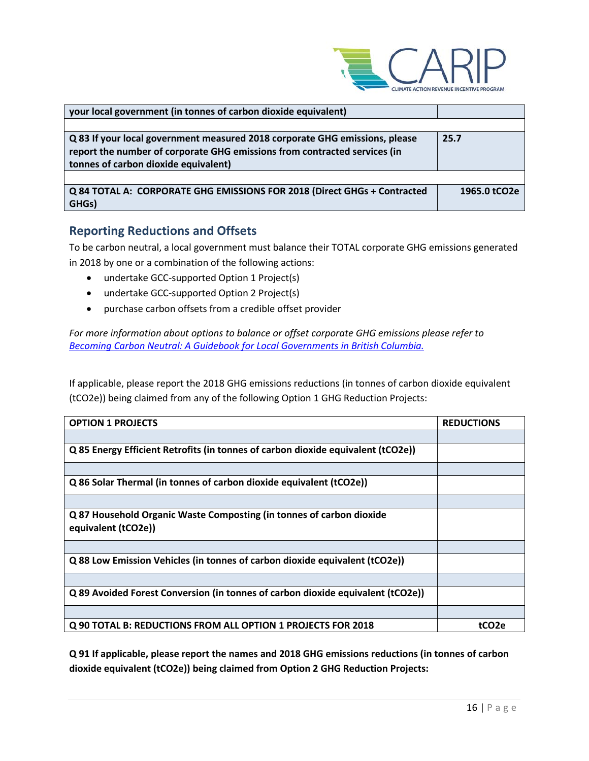

| your local government (in tonnes of carbon dioxide equivalent)                                                                                                                                   |              |
|--------------------------------------------------------------------------------------------------------------------------------------------------------------------------------------------------|--------------|
|                                                                                                                                                                                                  |              |
| Q 83 If your local government measured 2018 corporate GHG emissions, please<br>report the number of corporate GHG emissions from contracted services (in<br>tonnes of carbon dioxide equivalent) | 25.7         |
|                                                                                                                                                                                                  |              |
| Q 84 TOTAL A: CORPORATE GHG EMISSIONS FOR 2018 (Direct GHGs + Contracted<br>GHGs)                                                                                                                | 1965.0 tCO2e |

### **Reporting Reductions and Offsets**

To be carbon neutral, a local government must balance their TOTAL corporate GHG emissions generated in 2018 by one or a combination of the following actions:

- undertake GCC-supported Option 1 Project(s)
- undertake GCC-supported Option 2 Project(s)
- purchase carbon offsets from a credible offset provider

*For more information about options to balance or offset corporate GHG emissions please refer to [Becoming Carbon Neutral: A Guidebook for Local Governments in British Columbia.](http://www.toolkit.bc.ca/sites/default/files/Becoming%20Carbon%20Neutral%20V3%20FINAL%20July%202014_0.pdf)*

If applicable, please report the 2018 GHG emissions reductions (in tonnes of carbon dioxide equivalent (tCO2e)) being claimed from any of the following Option 1 GHG Reduction Projects:

| <b>OPTION 1 PROJECTS</b>                                                                    | <b>REDUCTIONS</b> |
|---------------------------------------------------------------------------------------------|-------------------|
|                                                                                             |                   |
| Q 85 Energy Efficient Retrofits (in tonnes of carbon dioxide equivalent (tCO2e))            |                   |
|                                                                                             |                   |
| Q 86 Solar Thermal (in tonnes of carbon dioxide equivalent (tCO2e))                         |                   |
|                                                                                             |                   |
| Q 87 Household Organic Waste Composting (in tonnes of carbon dioxide<br>equivalent (tCO2e)) |                   |
|                                                                                             |                   |
| Q 88 Low Emission Vehicles (in tonnes of carbon dioxide equivalent (tCO2e))                 |                   |
|                                                                                             |                   |
| Q 89 Avoided Forest Conversion (in tonnes of carbon dioxide equivalent (tCO2e))             |                   |
|                                                                                             |                   |
| Q 90 TOTAL B: REDUCTIONS FROM ALL OPTION 1 PROJECTS FOR 2018                                | tCO <sub>2e</sub> |

**Q 91 If applicable, please report the names and 2018 GHG emissions reductions (in tonnes of carbon dioxide equivalent (tCO2e)) being claimed from Option 2 GHG Reduction Projects:**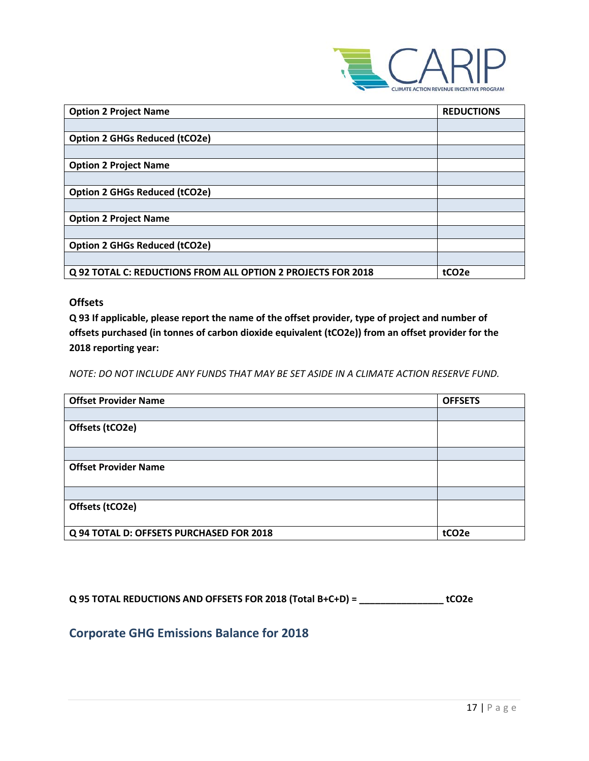

| <b>Option 2 Project Name</b>                                 | <b>REDUCTIONS</b>  |
|--------------------------------------------------------------|--------------------|
|                                                              |                    |
| <b>Option 2 GHGs Reduced (tCO2e)</b>                         |                    |
|                                                              |                    |
| <b>Option 2 Project Name</b>                                 |                    |
|                                                              |                    |
| <b>Option 2 GHGs Reduced (tCO2e)</b>                         |                    |
|                                                              |                    |
| <b>Option 2 Project Name</b>                                 |                    |
|                                                              |                    |
| <b>Option 2 GHGs Reduced (tCO2e)</b>                         |                    |
|                                                              |                    |
| Q 92 TOTAL C: REDUCTIONS FROM ALL OPTION 2 PROJECTS FOR 2018 | tCO <sub>2</sub> e |

#### **Offsets**

**Q 93 If applicable, please report the name of the offset provider, type of project and number of offsets purchased (in tonnes of carbon dioxide equivalent (tCO2e)) from an offset provider for the 2018 reporting year:**

*NOTE: DO NOT INCLUDE ANY FUNDS THAT MAY BE SET ASIDE IN A CLIMATE ACTION RESERVE FUND.*

| <b>Offset Provider Name</b>              | <b>OFFSETS</b>     |
|------------------------------------------|--------------------|
|                                          |                    |
| Offsets (tCO2e)                          |                    |
|                                          |                    |
|                                          |                    |
| <b>Offset Provider Name</b>              |                    |
|                                          |                    |
|                                          |                    |
| Offsets (tCO2e)                          |                    |
|                                          |                    |
| Q 94 TOTAL D: OFFSETS PURCHASED FOR 2018 | tCO <sub>2</sub> e |

**Q 95 TOTAL REDUCTIONS AND OFFSETS FOR 2018 (Total B+C+D) = \_\_\_\_\_\_\_\_\_\_\_\_\_\_\_\_ tCO2e**

### **Corporate GHG Emissions Balance for 2018**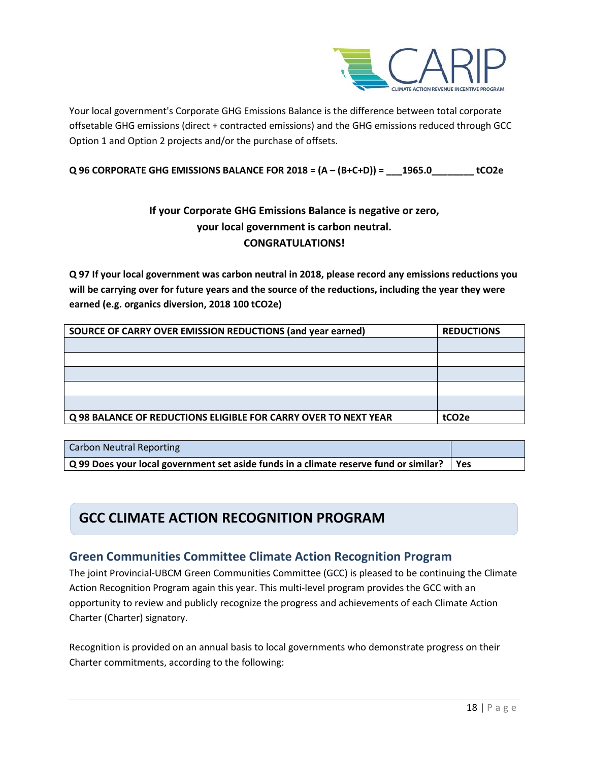

Your local government's Corporate GHG Emissions Balance is the difference between total corporate offsetable GHG emissions (direct + contracted emissions) and the GHG emissions reduced through GCC Option 1 and Option 2 projects and/or the purchase of offsets.

#### **Q 96 CORPORATE GHG EMISSIONS BALANCE FOR 2018 = (A – (B+C+D)) = \_\_\_1965.0\_\_\_\_\_\_\_\_ tCO2e**

### **If your Corporate GHG Emissions Balance is negative or zero, your local government is carbon neutral. CONGRATULATIONS!**

**Q 97 If your local government was carbon neutral in 2018, please record any emissions reductions you will be carrying over for future years and the source of the reductions, including the year they were earned (e.g. organics diversion, 2018 100 tCO2e)**

| SOURCE OF CARRY OVER EMISSION REDUCTIONS (and year earned)      | <b>REDUCTIONS</b>  |
|-----------------------------------------------------------------|--------------------|
|                                                                 |                    |
|                                                                 |                    |
|                                                                 |                    |
|                                                                 |                    |
|                                                                 |                    |
| Q 98 BALANCE OF REDUCTIONS ELIGIBLE FOR CARRY OVER TO NEXT YEAR | tCO <sub>2</sub> e |

| <b>Carbon Neutral Reporting</b>                                                                         |  |
|---------------------------------------------------------------------------------------------------------|--|
| $\mid$ Q 99 Does your local government set aside funds in a climate reserve fund or similar? $\mid$ Yes |  |

### **GCC CLIMATE ACTION RECOGNITION PROGRAM**

### **Green Communities Committee Climate Action Recognition Program**

The joint Provincial-UBCM Green Communities Committee (GCC) is pleased to be continuing the Climate Action Recognition Program again this year. This multi-level program provides the GCC with an opportunity to review and publicly recognize the progress and achievements of each Climate Action Charter (Charter) signatory.

Recognition is provided on an annual basis to local governments who demonstrate progress on their Charter commitments, according to the following: